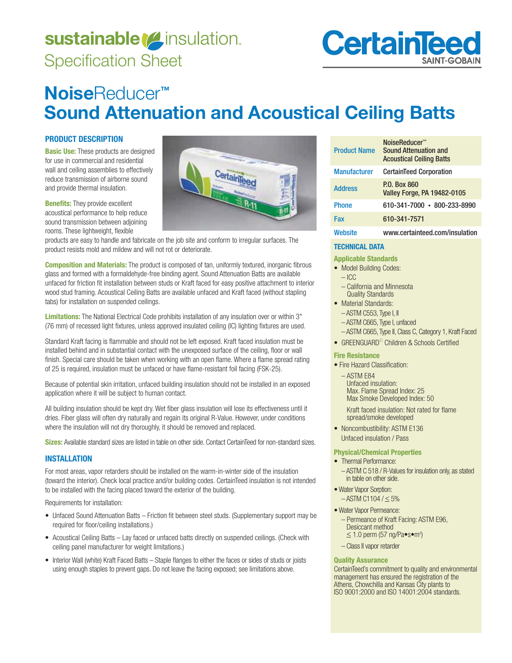# sustainable *[4* insulation. Specification Sheet



## **Noise**Reducer**™ Sound Attenuation and Acoustical Ceiling Batts**

CertainTeed

## **PRODUCT DESCRIPTION**

**Basic Use:** These products are designed for use in commercial and residential wall and ceiling assemblies to effectively reduce transmission of airborne sound and provide thermal insulation.

**Benefits:** They provide excellent acoustical performance to help reduce sound transmission between adjoining rooms. These lightweight, flexible



**Composition and Materials:** The product is composed of tan, uniformly textured, inorganic fibrous glass and formed with a formaldehyde-free binding agent. Sound Attenuation Batts are available unfaced for friction fit installation between studs or Kraft faced for easy positive attachment to interior wood stud framing. Acoustical Ceiling Batts are available unfaced and Kraft faced (without stapling tabs) for installation on suspended ceilings.

**Limitations:** The National Electrical Code prohibits installation of any insulation over or within 3" (76 mm) of recessed light fixtures, unless approved insulated ceiling (IC) lighting fixtures are used.

Standard Kraft facing is flammable and should not be left exposed. Kraft faced insulation must be installed behind and in substantial contact with the unexposed surface of the ceiling, floor or wall finish. Special care should be taken when working with an open flame. Where a flame spread rating of 25 is required, insulation must be unfaced or have flame-resistant foil facing (FSK-25).

Because of potential skin irritation, unfaced building insulation should not be installed in an exposed application where it will be subject to human contact.

All building insulation should be kept dry. Wet fiber glass insulation will lose its effectiveness until it dries. Fiber glass will often dry naturally and regain its original R-Value. However, under conditions where the insulation will not dry thoroughly, it should be removed and replaced.

**Sizes:** Available standard sizes are listed in table on other side. Contact CertainTeed for non-standard sizes.

## **INSTALLATION**

For most areas, vapor retarders should be installed on the warm-in-winter side of the insulation (toward the interior). Check local practice and/or building codes. CertainTeed insulation is not intended to be installed with the facing placed toward the exterior of the building.

Requirements for installation:

- Unfaced Sound Attenuation Batts Friction fit between steel studs. (Supplementary support may be required for floor/ceiling installations.)
- Acoustical Ceiling Batts Lay faced or unfaced batts directly on suspended ceilings. (Check with ceiling panel manufacturer for weight limitations.)
- Interior Wall (white) Kraft Faced Batts Staple flanges to either the faces or sides of studs or joists using enough staples to prevent gaps. Do not leave the facing exposed; see limitations above.

| <b>Product Name</b> | NoiseReducer <sup>™</sup><br><b>Sound Attenuation and</b><br><b>Acoustical Ceiling Batts</b> |
|---------------------|----------------------------------------------------------------------------------------------|
| <b>Manufacturer</b> | <b>CertainTeed Corporation</b>                                                               |
| <b>Address</b>      | P.O. Box 860<br><b>Valley Forge, PA 19482-0105</b>                                           |
| <b>Phone</b>        | 610-341-7000 • 800-233-8990                                                                  |
| Fax                 | 610-341-7571                                                                                 |
| Website             | www.certainteed.com/insulation                                                               |

## **TECHNICAL DATA**

**Applicable Standards** 

- Model Building Codes:
	- $-$  ICC
	- California and Minnesota Quality Standards
- Material Standards:
	- ASTM C553, Type I, II
- ASTM C665, Type I, unfaced
- ASTM C665, Type II, Class C, Category 1, Kraft Faced
- GREENGUARD<sup>®</sup> Children & Schools Certified

## **Fire Resistance**

• Fire Hazard Classification:

 $-$  ASTM E84 Unfaced insulation: Max. Flame Spread Index: 25 Max Smoke Developed Index: 50

 Kraft faced insulation: Not rated for flame spread/smoke developed

• Noncombustibility: ASTM E136 Unfaced insulation / Pass

## **Physical/Chemical Properties**

- Thermal Performance:
	- ASTM C 518 / R-Values for insulation only, as stated in table on other side.
- Water Vapor Sorption:  $-$  ASTM C1104 /  $\leq$  5%
- · Water Vapor Permeance: - Permeance of Kraft Facing: ASTM E96, Desiccant method  $\leq$  1.0 perm (57 ng/Pa $\bullet$ s $\bullet$ m<sup>2</sup>)
	- Class II vapor retarder

## **Quality Assurance**

CertainTeed's commitment to quality and environmental management has ensured the registration of the Athens, Chowchilla and Kansas City plants to ISO 9001:2000 and ISO 14001:2004 standards.